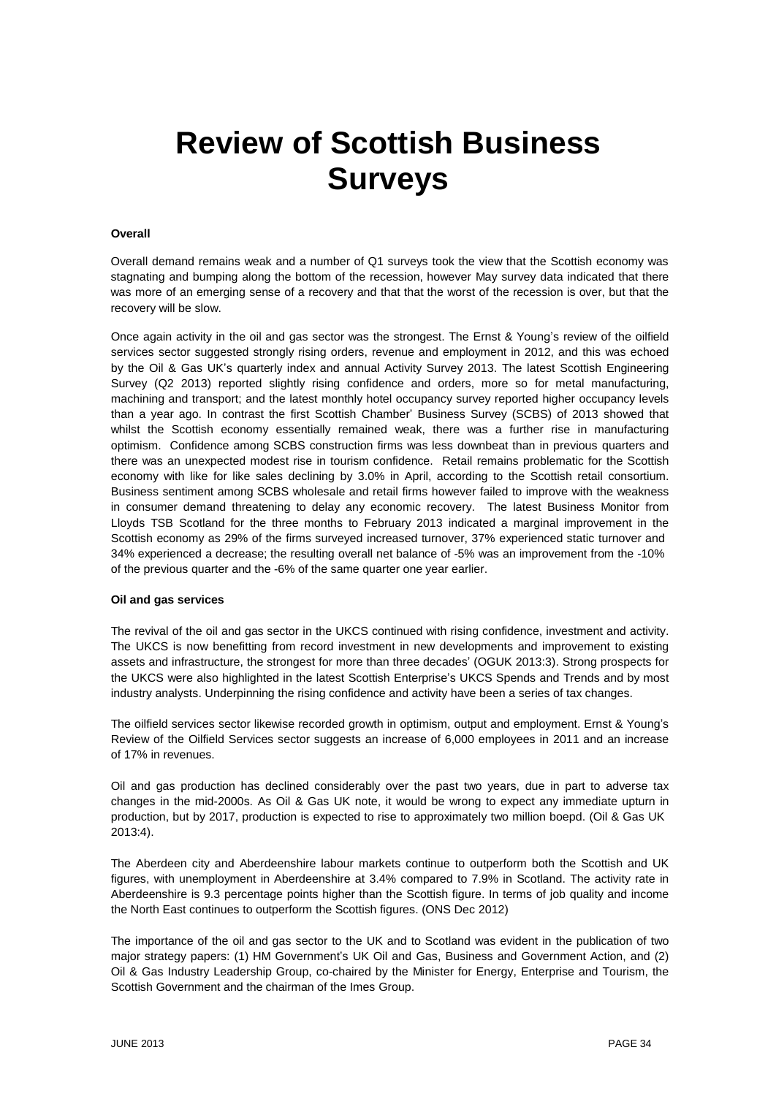# **Review of Scottish Business Surveys**

## **Overall**

Overall demand remains weak and a number of Q1 surveys took the view that the Scottish economy was stagnating and bumping along the bottom of the recession, however May survey data indicated that there was more of an emerging sense of a recovery and that that the worst of the recession is over, but that the recovery will be slow.

Once again activity in the oil and gas sector was the strongest. The Ernst & Young's review of the oilfield services sector suggested strongly rising orders, revenue and employment in 2012, and this was echoed by the Oil & Gas UK's quarterly index and annual Activity Survey 2013. The latest Scottish Engineering Survey (Q2 2013) reported slightly rising confidence and orders, more so for metal manufacturing, machining and transport; and the latest monthly hotel occupancy survey reported higher occupancy levels than a year ago. In contrast the first Scottish Chamber' Business Survey (SCBS) of 2013 showed that whilst the Scottish economy essentially remained weak, there was a further rise in manufacturing optimism. Confidence among SCBS construction firms was less downbeat than in previous quarters and there was an unexpected modest rise in tourism confidence. Retail remains problematic for the Scottish economy with like for like sales declining by 3.0% in April, according to the Scottish retail consortium. Business sentiment among SCBS wholesale and retail firms however failed to improve with the weakness in consumer demand threatening to delay any economic recovery. The latest Business Monitor from Lloyds TSB Scotland for the three months to February 2013 indicated a marginal improvement in the Scottish economy as 29% of the firms surveyed increased turnover, 37% experienced static turnover and 34% experienced a decrease; the resulting overall net balance of -5% was an improvement from the -10% of the previous quarter and the -6% of the same quarter one year earlier.

## **Oil and gas services**

The revival of the oil and gas sector in the UKCS continued with rising confidence, investment and activity. The UKCS is now benefitting from record investment in new developments and improvement to existing assets and infrastructure, the strongest for more than three decades' (OGUK 2013:3). Strong prospects for the UKCS were also highlighted in the latest Scottish Enterprise's UKCS Spends and Trends and by most industry analysts. Underpinning the rising confidence and activity have been a series of tax changes.

The oilfield services sector likewise recorded growth in optimism, output and employment. Ernst & Young's Review of the Oilfield Services sector suggests an increase of 6,000 employees in 2011 and an increase of 17% in revenues.

Oil and gas production has declined considerably over the past two years, due in part to adverse tax changes in the mid-2000s. As Oil & Gas UK note, it would be wrong to expect any immediate upturn in production, but by 2017, production is expected to rise to approximately two million boepd. (Oil & Gas UK 2013:4).

The Aberdeen city and Aberdeenshire labour markets continue to outperform both the Scottish and UK figures, with unemployment in Aberdeenshire at 3.4% compared to 7.9% in Scotland. The activity rate in Aberdeenshire is 9.3 percentage points higher than the Scottish figure. In terms of job quality and income the North East continues to outperform the Scottish figures. (ONS Dec 2012)

The importance of the oil and gas sector to the UK and to Scotland was evident in the publication of two major strategy papers: (1) HM Government's UK Oil and Gas, Business and Government Action, and (2) Oil & Gas Industry Leadership Group, co-chaired by the Minister for Energy, Enterprise and Tourism, the Scottish Government and the chairman of the Imes Group.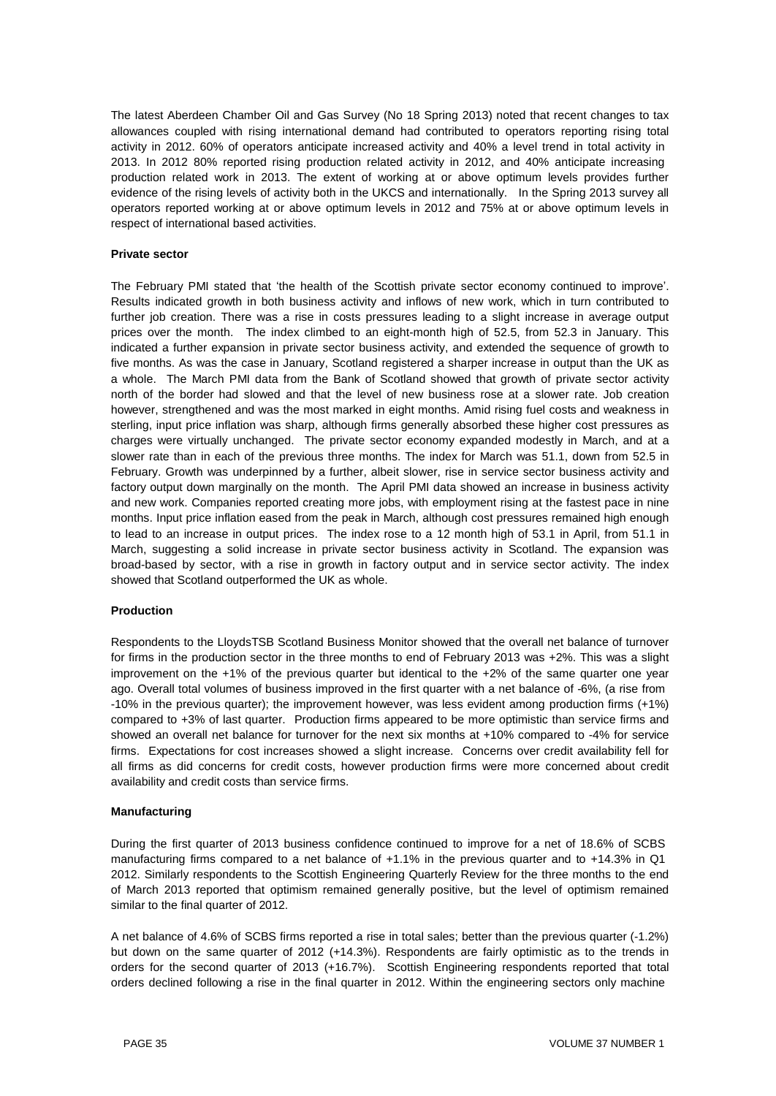The latest Aberdeen Chamber Oil and Gas Survey (No 18 Spring 2013) noted that recent changes to tax allowances coupled with rising international demand had contributed to operators reporting rising total activity in 2012. 60% of operators anticipate increased activity and 40% a level trend in total activity in 2013. In 2012 80% reported rising production related activity in 2012, and 40% anticipate increasing production related work in 2013. The extent of working at or above optimum levels provides further evidence of the rising levels of activity both in the UKCS and internationally. In the Spring 2013 survey all operators reported working at or above optimum levels in 2012 and 75% at or above optimum levels in respect of international based activities.

# **Private sector**

The February PMI stated that 'the health of the Scottish private sector economy continued to improve'. Results indicated growth in both business activity and inflows of new work, which in turn contributed to further job creation. There was a rise in costs pressures leading to a slight increase in average output prices over the month. The index climbed to an eight-month high of 52.5, from 52.3 in January. This indicated a further expansion in private sector business activity, and extended the sequence of growth to five months. As was the case in January, Scotland registered a sharper increase in output than the UK as a whole. The March PMI data from the Bank of Scotland showed that growth of private sector activity north of the border had slowed and that the level of new business rose at a slower rate. Job creation however, strengthened and was the most marked in eight months. Amid rising fuel costs and weakness in sterling, input price inflation was sharp, although firms generally absorbed these higher cost pressures as charges were virtually unchanged. The private sector economy expanded modestly in March, and at a slower rate than in each of the previous three months. The index for March was 51.1, down from 52.5 in February. Growth was underpinned by a further, albeit slower, rise in service sector business activity and factory output down marginally on the month. The April PMI data showed an increase in business activity and new work. Companies reported creating more jobs, with employment rising at the fastest pace in nine months. Input price inflation eased from the peak in March, although cost pressures remained high enough to lead to an increase in output prices. The index rose to a 12 month high of 53.1 in April, from 51.1 in March, suggesting a solid increase in private sector business activity in Scotland. The expansion was broad-based by sector, with a rise in growth in factory output and in service sector activity. The index showed that Scotland outperformed the UK as whole.

## **Production**

Respondents to the LloydsTSB Scotland Business Monitor showed that the overall net balance of turnover for firms in the production sector in the three months to end of February 2013 was +2%. This was a slight improvement on the +1% of the previous quarter but identical to the +2% of the same quarter one year ago. Overall total volumes of business improved in the first quarter with a net balance of -6%, (a rise from -10% in the previous quarter); the improvement however, was less evident among production firms (+1%) compared to +3% of last quarter. Production firms appeared to be more optimistic than service firms and showed an overall net balance for turnover for the next six months at +10% compared to -4% for service firms. Expectations for cost increases showed a slight increase. Concerns over credit availability fell for all firms as did concerns for credit costs, however production firms were more concerned about credit availability and credit costs than service firms.

## **Manufacturing**

During the first quarter of 2013 business confidence continued to improve for a net of 18.6% of SCBS manufacturing firms compared to a net balance of +1.1% in the previous quarter and to +14.3% in Q1 2012. Similarly respondents to the Scottish Engineering Quarterly Review for the three months to the end of March 2013 reported that optimism remained generally positive, but the level of optimism remained similar to the final quarter of 2012.

A net balance of 4.6% of SCBS firms reported a rise in total sales; better than the previous quarter (-1.2%) but down on the same quarter of 2012 (+14.3%). Respondents are fairly optimistic as to the trends in orders for the second quarter of 2013 (+16.7%). Scottish Engineering respondents reported that total orders declined following a rise in the final quarter in 2012. Within the engineering sectors only machine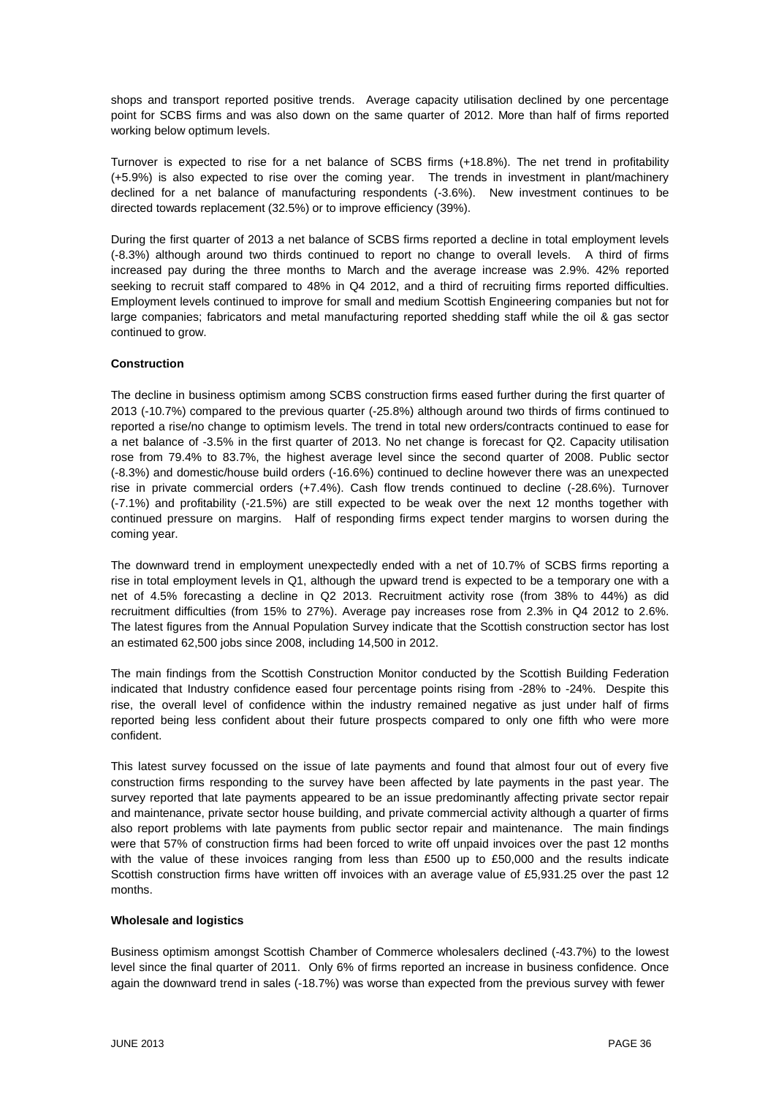shops and transport reported positive trends. Average capacity utilisation declined by one percentage point for SCBS firms and was also down on the same quarter of 2012. More than half of firms reported working below optimum levels.

Turnover is expected to rise for a net balance of SCBS firms (+18.8%). The net trend in profitability (+5.9%) is also expected to rise over the coming year. The trends in investment in plant/machinery declined for a net balance of manufacturing respondents (-3.6%). New investment continues to be directed towards replacement (32.5%) or to improve efficiency (39%).

During the first quarter of 2013 a net balance of SCBS firms reported a decline in total employment levels (-8.3%) although around two thirds continued to report no change to overall levels. A third of firms increased pay during the three months to March and the average increase was 2.9%. 42% reported seeking to recruit staff compared to 48% in Q4 2012, and a third of recruiting firms reported difficulties. Employment levels continued to improve for small and medium Scottish Engineering companies but not for large companies; fabricators and metal manufacturing reported shedding staff while the oil & gas sector continued to grow.

# **Construction**

The decline in business optimism among SCBS construction firms eased further during the first quarter of 2013 (-10.7%) compared to the previous quarter (-25.8%) although around two thirds of firms continued to reported a rise/no change to optimism levels. The trend in total new orders/contracts continued to ease for a net balance of -3.5% in the first quarter of 2013. No net change is forecast for Q2. Capacity utilisation rose from 79.4% to 83.7%, the highest average level since the second quarter of 2008. Public sector (-8.3%) and domestic/house build orders (-16.6%) continued to decline however there was an unexpected rise in private commercial orders (+7.4%). Cash flow trends continued to decline (-28.6%). Turnover (-7.1%) and profitability (-21.5%) are still expected to be weak over the next 12 months together with continued pressure on margins. Half of responding firms expect tender margins to worsen during the coming year.

The downward trend in employment unexpectedly ended with a net of 10.7% of SCBS firms reporting a rise in total employment levels in Q1, although the upward trend is expected to be a temporary one with a net of 4.5% forecasting a decline in Q2 2013. Recruitment activity rose (from 38% to 44%) as did recruitment difficulties (from 15% to 27%). Average pay increases rose from 2.3% in Q4 2012 to 2.6%. The latest figures from the Annual Population Survey indicate that the Scottish construction sector has lost an estimated 62,500 jobs since 2008, including 14,500 in 2012.

The main findings from the Scottish Construction Monitor conducted by the Scottish Building Federation indicated that Industry confidence eased four percentage points rising from -28% to -24%. Despite this rise, the overall level of confidence within the industry remained negative as just under half of firms reported being less confident about their future prospects compared to only one fifth who were more confident.

This latest survey focussed on the issue of late payments and found that almost four out of every five construction firms responding to the survey have been affected by late payments in the past year. The survey reported that late payments appeared to be an issue predominantly affecting private sector repair and maintenance, private sector house building, and private commercial activity although a quarter of firms also report problems with late payments from public sector repair and maintenance. The main findings were that 57% of construction firms had been forced to write off unpaid invoices over the past 12 months with the value of these invoices ranging from less than £500 up to £50,000 and the results indicate Scottish construction firms have written off invoices with an average value of £5,931.25 over the past 12 months.

## **Wholesale and logistics**

Business optimism amongst Scottish Chamber of Commerce wholesalers declined (-43.7%) to the lowest level since the final quarter of 2011. Only 6% of firms reported an increase in business confidence. Once again the downward trend in sales (-18.7%) was worse than expected from the previous survey with fewer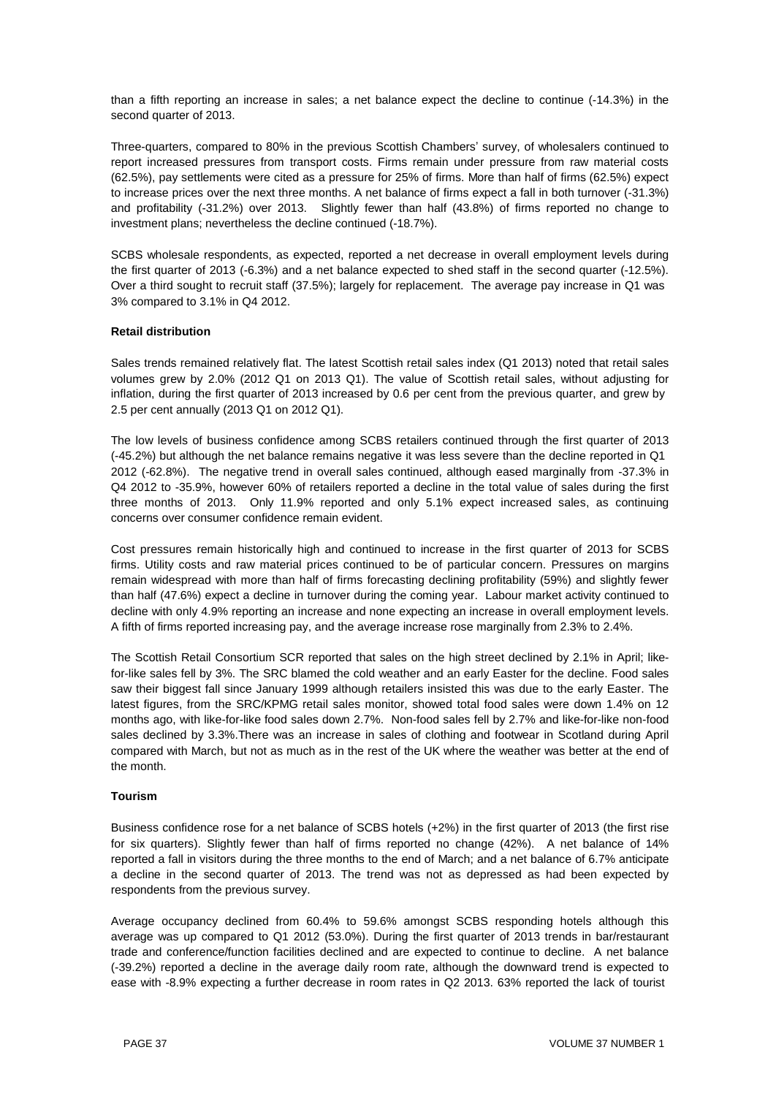than a fifth reporting an increase in sales; a net balance expect the decline to continue (-14.3%) in the second quarter of 2013.

Three-quarters, compared to 80% in the previous Scottish Chambers' survey, of wholesalers continued to report increased pressures from transport costs. Firms remain under pressure from raw material costs (62.5%), pay settlements were cited as a pressure for 25% of firms. More than half of firms (62.5%) expect to increase prices over the next three months. A net balance of firms expect a fall in both turnover (-31.3%) and profitability (-31.2%) over 2013. Slightly fewer than half (43.8%) of firms reported no change to investment plans; nevertheless the decline continued (-18.7%).

SCBS wholesale respondents, as expected, reported a net decrease in overall employment levels during the first quarter of 2013 (-6.3%) and a net balance expected to shed staff in the second quarter (-12.5%). Over a third sought to recruit staff (37.5%); largely for replacement. The average pay increase in Q1 was 3% compared to 3.1% in Q4 2012.

## **Retail distribution**

Sales trends remained relatively flat. The latest Scottish retail sales index (Q1 2013) noted that retail sales volumes grew by 2.0% (2012 Q1 on 2013 Q1). The value of Scottish retail sales, without adjusting for inflation, during the first quarter of 2013 increased by 0.6 per cent from the previous quarter, and grew by 2.5 per cent annually (2013 Q1 on 2012 Q1).

The low levels of business confidence among SCBS retailers continued through the first quarter of 2013 (-45.2%) but although the net balance remains negative it was less severe than the decline reported in Q1 2012 (-62.8%). The negative trend in overall sales continued, although eased marginally from -37.3% in Q4 2012 to -35.9%, however 60% of retailers reported a decline in the total value of sales during the first three months of 2013. Only 11.9% reported and only 5.1% expect increased sales, as continuing concerns over consumer confidence remain evident.

Cost pressures remain historically high and continued to increase in the first quarter of 2013 for SCBS firms. Utility costs and raw material prices continued to be of particular concern. Pressures on margins remain widespread with more than half of firms forecasting declining profitability (59%) and slightly fewer than half (47.6%) expect a decline in turnover during the coming year. Labour market activity continued to decline with only 4.9% reporting an increase and none expecting an increase in overall employment levels. A fifth of firms reported increasing pay, and the average increase rose marginally from 2.3% to 2.4%.

The Scottish Retail Consortium SCR reported that sales on the high street declined by 2.1% in April; likefor-like sales fell by 3%. The SRC blamed the cold weather and an early Easter for the decline. Food sales saw their biggest fall since January 1999 although retailers insisted this was due to the early Easter. The latest figures, from the SRC/KPMG retail sales monitor, showed total food sales were down 1.4% on 12 months ago, with like-for-like food sales down 2.7%. Non-food sales fell by 2.7% and like-for-like non-food sales declined by 3.3%.There was an increase in sales of clothing and footwear in Scotland during April compared with March, but not as much as in the rest of the UK where the weather was better at the end of the month.

## **Tourism**

Business confidence rose for a net balance of SCBS hotels (+2%) in the first quarter of 2013 (the first rise for six quarters). Slightly fewer than half of firms reported no change (42%). A net balance of 14% reported a fall in visitors during the three months to the end of March; and a net balance of 6.7% anticipate a decline in the second quarter of 2013. The trend was not as depressed as had been expected by respondents from the previous survey.

Average occupancy declined from 60.4% to 59.6% amongst SCBS responding hotels although this average was up compared to Q1 2012 (53.0%). During the first quarter of 2013 trends in bar/restaurant trade and conference/function facilities declined and are expected to continue to decline. A net balance (-39.2%) reported a decline in the average daily room rate, although the downward trend is expected to ease with -8.9% expecting a further decrease in room rates in Q2 2013. 63% reported the lack of tourist